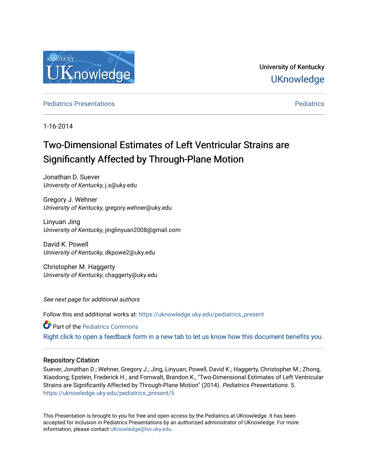

University of Kentucky **UKnowledge** 

**[Pediatrics](https://uknowledge.uky.edu/pediatrics) Presentations Pediatrics** Pediatrics **Presentations** 

1-16-2014

# Two-Dimensional Estimates of Left Ventricular Strains are Significantly Affected by Through-Plane Motion

Jonathan D. Suever University of Kentucky, j.s@uky.edu

Gregory J. Wehner University of Kentucky, gregory.wehner@uky.edu

Linyuan Jing University of Kentucky, jinglinyuan2008@gmail.com

David K. Powell University of Kentucky, dkpowe2@uky.edu

Christopher M. Haggerty University of Kentucky, chaggerty@uky.edu

See next page for additional authors

Follow this and additional works at: [https://uknowledge.uky.edu/pediatrics\\_present](https://uknowledge.uky.edu/pediatrics_present?utm_source=uknowledge.uky.edu%2Fpediatrics_present%2F5&utm_medium=PDF&utm_campaign=PDFCoverPages)

**Part of the [Pediatrics Commons](http://network.bepress.com/hgg/discipline/700?utm_source=uknowledge.uky.edu%2Fpediatrics_present%2F5&utm_medium=PDF&utm_campaign=PDFCoverPages)** 

[Right click to open a feedback form in a new tab to let us know how this document benefits you.](https://uky.az1.qualtrics.com/jfe/form/SV_9mq8fx2GnONRfz7)

## Repository Citation

Suever, Jonathan D.; Wehner, Gregory J.; Jing, Linyuan; Powell, David K.; Haggerty, Christopher M.; Zhong, Xiaodong; Epstein, Frederick H.; and Fornwalt, Brandon K., "Two-Dimensional Estimates of Left Ventricular Strains are Significantly Affected by Through-Plane Motion" (2014). Pediatrics Presentations. 5. [https://uknowledge.uky.edu/pediatrics\\_present/5](https://uknowledge.uky.edu/pediatrics_present/5?utm_source=uknowledge.uky.edu%2Fpediatrics_present%2F5&utm_medium=PDF&utm_campaign=PDFCoverPages)

This Presentation is brought to you for free and open access by the Pediatrics at UKnowledge. It has been accepted for inclusion in Pediatrics Presentations by an authorized administrator of UKnowledge. For more information, please contact [UKnowledge@lsv.uky.edu](mailto:UKnowledge@lsv.uky.edu).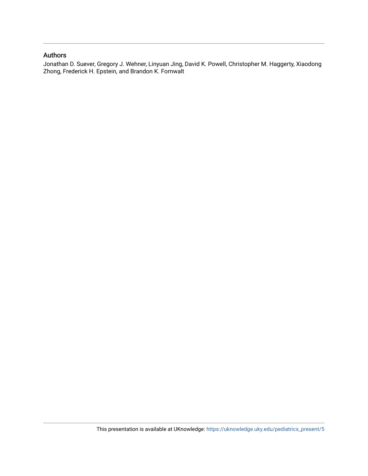## Authors

Jonathan D. Suever, Gregory J. Wehner, Linyuan Jing, David K. Powell, Christopher M. Haggerty, Xiaodong Zhong, Frederick H. Epstein, and Brandon K. Fornwalt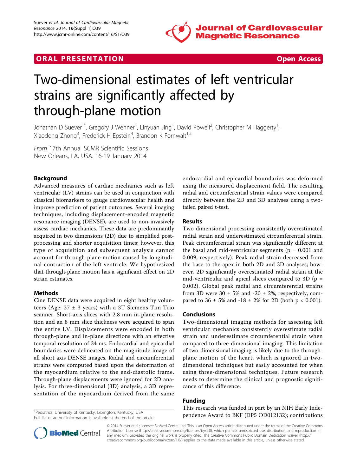

## **ORAL PRESENTATION CONSUMING ACCESS**



# Two-dimensional estimates of left ventricular strains are significantly affected by through-plane motion

Jonathan D Suever<sup>1\*</sup>, Gregory J Wehner<sup>1</sup>, Linyuan Jing<sup>1</sup>, David Powell<sup>2</sup>, Christopher M Haggerty<sup>1</sup> , Xiaodong Zhong<sup>3</sup>, Frederick H Epstein<sup>4</sup>, Brandon K Fornwalt<sup>1,2</sup>

From 17th Annual SCMR Scientific Sessions New Orleans, LA, USA. 16-19 January 2014

### Background

Advanced measures of cardiac mechanics such as left ventricular (LV) strains can be used in conjunction with classical biomarkers to gauge cardiovascular health and improve prediction of patient outcomes. Several imaging techniques, including displacement-encoded magnetic resonance imaging (DENSE), are used to non-invasively assess cardiac mechanics. These data are predominantly acquired in two dimensions (2D) due to simplified postprocessing and shorter acquisition times; however, this type of acquisition and subsequent analysis cannot account for through-plane motion caused by longitudinal contraction of the left ventricle. We hypothesized that through-plane motion has a significant effect on 2D strain estimates.

### Methods

Cine DENSE data were acquired in eight healthy volunteers (Age:  $27 \pm 3$  years) with a 3T Siemens Tim Trio scanner. Short-axis slices with 2.8 mm in-plane resolution and an 8 mm slice thickness were acquired to span the entire LV. Displacements were encoded in both through-plane and in-plane directions with an effective temporal resolution of 34 ms. Endocardial and epicardial boundaries were delineated on the magnitude image of all short axis DENSE images. Radial and circumferential strains were computed based upon the deformation of the myocardium relative to the end-diastolic frame. Through-plane displacements were ignored for 2D analysis. For three-dimensional (3D) analysis, a 3D representation of the myocardium derived from the same

endocardial and epicardial boundaries was deformed using the measured displacement field. The resulting radial and circumferential strain values were compared directly between the 2D and 3D analyses using a twotailed paired t-test.

#### Results

Two dimensional processing consistently overestimated radial strain and underestimated circumferential strain. Peak circumferential strain was significantly different at the basal and mid-ventricular segments ( $p = 0.001$  and 0.009, respectively). Peak radial strain decreased from the base to the apex in both 2D and 3D analyses; however, 2D significantly overestimated radial strain at the mid-ventricular and apical slices compared to 3D ( $p =$ 0.002). Global peak radial and circumferential strains from 3D were  $30 \pm 5\%$  and  $-20 \pm 2\%$ , respectively, compared to  $36 \pm 5\%$  and  $-18 \pm 2\%$  for 2D (both p < 0.001).

#### Conclusions

Two-dimensional imaging methods for assessing left ventricular mechanics consistently overestimate radial strain and underestimate circumferential strain when compared to three-dimensional imaging. This limitation of two-dimensional imaging is likely due to the throughplane motion of the heart, which is ignored in twodimensional techniques but easily accounted for when using three-dimensional techniques. Future research needs to determine the clinical and prognostic significance of this difference.

### Funding

This research was funded in part by an NIH Early Independence Award to BKF (DP5 OD012132); contributions <sup>1</sup>

<sup>1</sup>Pediatrics, University of Kentucky, Lexington, Kentucky, USA Full list of author information is available at the end of the article



© 2014 Suever et al.; licensee BioMed Central Ltd. This is an Open Access article distributed under the terms of the Creative Commons Attribution License [\(http://creativecommons.org/licenses/by/2.0](http://creativecommons.org/licenses/by/2.0)), which permits unrestricted use, distribution, and reproduction in any medium, provided the original work is properly cited. The Creative Commons Public Domain Dedication waiver [\(http://](http://creativecommons.org/publicdomain/zero/1.0/) [creativecommons.org/publicdomain/zero/1.0/](http://creativecommons.org/publicdomain/zero/1.0/)) applies to the data made available in this article, unless otherwise stated.